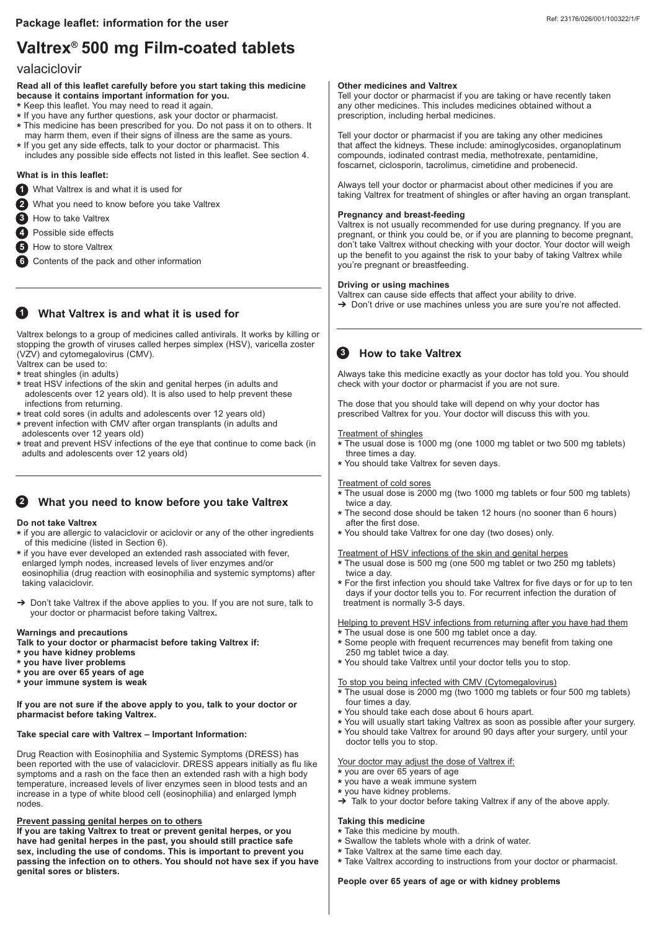# **Valtrex 500 mg Film-coated tablets ®**

# valaciclovir

#### **Read all of this leaflet carefully before you start taking this medicine because it contains important information for you.**

- **\*** Keep this leaflet. You may need to read it again.
- **\*** If you have any further questions, ask your doctor or pharmacist.
- **\*** This medicine has been prescribed for you. Do not pass it on to others. It
- may harm them, even if their signs of illness are the same as yours.
- **\*** If you get any side effects, talk to your doctor or pharmacist. This includes any possible side effects not listed in this leaflet. See section 4.

## **What is in this leaflet:**

- What Valtrex is and what it is used for **1**
- What you need to know before you take Valtrex **2**
- How to take Valtrex **3**
- Possible side effects **4**
- **5** How to store Valtrex
- Contents of the pack and other information **6**

# **1** What Valtrex is and what it is used for

Valtrex belongs to a group of medicines called antivirals. It works by killing or stopping the growth of viruses called herpes simplex (HSV), varicella zoster (VZV) and cytomegalovirus (CMV).

Valtrex can be used to:

- **\*** treat shingles (in adults)
- **\*** treat HSV infections of the skin and genital herpes (in adults and adolescents over 12 years old). It is also used to help prevent these infections from returning.
- **\*** treat cold sores (in adults and adolescents over 12 years old)
- **\*** prevent infection with CMV after organ transplants (in adults and adolescents over 12 years old)
- **\*** treat and prevent HSV infections of the eye that continue to come back (in adults and adolescents over 12 years old)

# **What you need to know before you take Valtrex 2**

### **Do not take Valtrex**

- **\*** if you are allergic to valaciclovir or aciclovir or any of the other ingredients of this medicine (listed in Section 6).
- **\*** if you have ever developed an extended rash associated with fever, enlarged lymph nodes, increased levels of liver enzymes and/or eosinophilia (drug reaction with eosinophilia and systemic symptoms) after taking valaciclovir.
- → Don't take Valtrex if the above applies to you. If you are not sure, talk to your doctor or pharmacist before taking Valtrex**.**

#### **Warnings and precautions**

- **Talk to your doctor or pharmacist before taking Valtrex if:**
- **\* you have kidney problems**
- **\* you have liver problems**
- **\* you are over 65 years of age**
- **\* your immune system is weak**

**If you are not sure if the above apply to you, talk to your doctor or pharmacist before taking Valtrex.** 

# **Take special care with Valtrex – Important Information:**

Drug Reaction with Eosinophilia and Systemic Symptoms (DRESS) has been reported with the use of valaciclovir. DRESS appears initially as flu like symptoms and a rash on the face then an extended rash with a high body temperature, increased levels of liver enzymes seen in blood tests and an increase in a type of white blood cell (eosinophilia) and enlarged lymph nodes.

# **Prevent passing genital herpes on to others**

**If you are taking Valtrex to treat or prevent genital herpes, or you have had genital herpes in the past, you should still practice safe sex, including the use of condoms. This is important to prevent you passing the infection on to others. You should not have sex if you have genital sores or blisters.**

## **Other medicines and Valtrex**

Tell your doctor or pharmacist if you are taking or have recently taken any other medicines. This includes medicines obtained without a prescription, including herbal medicines.

Tell your doctor or pharmacist if you are taking any other medicines that affect the kidneys. These include: aminoglycosides, organoplatinum compounds, iodinated contrast media, methotrexate, pentamidine, foscarnet, ciclosporin, tacrolimus, cimetidine and probenecid.

Always tell your doctor or pharmacist about other medicines if you are taking Valtrex for treatment of shingles or after having an organ transplant.

#### **Pregnancy and breast-feeding**

Valtrex is not usually recommended for use during pregnancy. If you are pregnant, or think you could be, or if you are planning to become pregnant, don't take Valtrex without checking with your doctor. Your doctor will weigh up the benefit to you against the risk to your baby of taking Valtrex while you're pregnant or breastfeeding.

#### **Driving or using machines**

Valtrex can cause side effects that affect your ability to drive. → Don't drive or use machines unless you are sure you're not affected.

# **8** How to take Valtrex

Always take this medicine exactly as your doctor has told you. You should check with your doctor or pharmacist if you are not sure.

The dose that you should take will depend on why your doctor has prescribed Valtrex for you. Your doctor will discuss this with you.

#### Treatment of shingles

- **\*** The usual dose is 1000 mg (one 1000 mg tablet or two 500 mg tablets) three times a day.
- **\*** You should take Valtrex for seven days.

#### Treatment of cold sores

- **\*** The usual dose is 2000 mg (two 1000 mg tablets or four 500 mg tablets) twice a day.
- **\*** The second dose should be taken 12 hours (no sooner than 6 hours) after the first dose.
- **\*** You should take Valtrex for one day (two doses) only.

#### Treatment of HSV infections of the skin and genital herpes

- **\*** The usual dose is 500 mg (one 500 mg tablet or two 250 mg tablets) twice a day.
- **\*** For the first infection you should take Valtrex for five days or for up to ten days if your doctor tells you to. For recurrent infection the duration of treatment is normally 3-5 days.

Helping to prevent HSV infections from returning after you have had them The usual dose is one 500 mg tablet once a day.

- **\*** Some people with frequent recurrences may benefit from taking one 250 mg tablet twice a day.
- **\*** You should take Valtrex until your doctor tells you to stop.

# To stop you being infected with CMV (Cytomegalovirus)

**\*** The usual dose is 2000 mg (two 1000 mg tablets or four 500 mg tablets) four times a day.

- **\*** You should take each dose about 6 hours apart.
- **\*** You will usually start taking Valtrex as soon as possible after your surgery. **\*** You should take Valtrex for around 90 days after your surgery, until your doctor tells you to stop.

## Your doctor may adjust the dose of Valtrex if:

- **\*** you are over 65 years of age
- **\*** you have a weak immune system
- **\*** you have kidney problems.

# ➔ Talk to your doctor before taking Valtrex if any of the above apply.

# **Taking this medicine**

- **\*** Take this medicine by mouth.
- **\*** Swallow the tablets whole with a drink of water.
- **\*** Take Valtrex at the same time each day.
- **\*** Take Valtrex according to instructions from your doctor or pharmacist.

## **People over 65 years of age or with kidney problems**